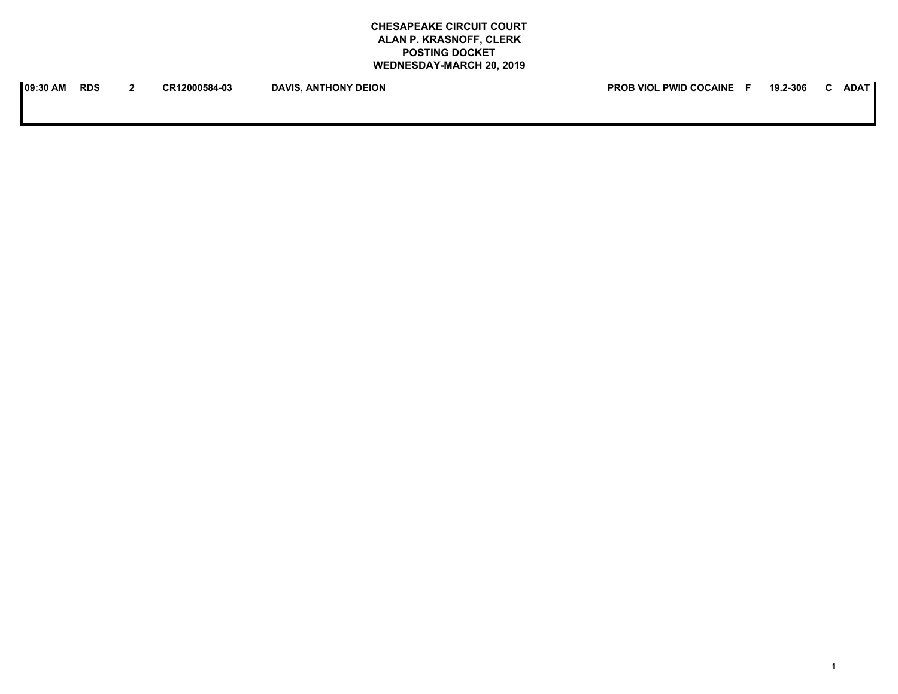## **CHESAPEAKE CIRCUIT COURT ALAN P. KRASNOFF, CLERK POSTING DOCKET WEDNESDAY-MARCH 20, 2019**

| 09:30 AM | <b>RDS</b> | CR12000584-03 | <b>DAVIS, ANTHONY DEION</b> | <b>PROB VIOL PWID COCAINE</b> | 19.2-306 | <b>ADAT</b> |
|----------|------------|---------------|-----------------------------|-------------------------------|----------|-------------|
|          |            |               |                             |                               |          |             |
|          |            |               |                             |                               |          |             |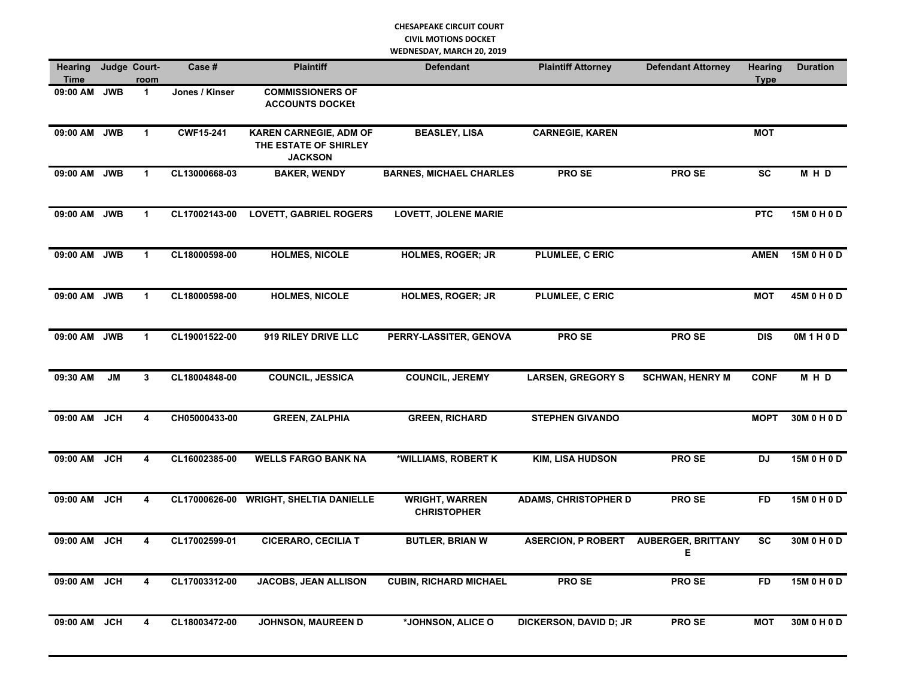## **CHESAPEAKE CIRCUIT COURT CIVIL MOTIONS DOCKET WEDNESDAY, MARCH 20, 2019**

| <b>Hearing</b><br><b>Time</b> |            | Judge Court-<br>room    | Case #           | <b>Plaintiff</b>                                                         | <b>Defendant</b>                            | <b>Plaintiff Attorney</b>     | <b>Defendant Attorney</b>      | <b>Hearing</b><br><b>Type</b> | <b>Duration</b> |
|-------------------------------|------------|-------------------------|------------------|--------------------------------------------------------------------------|---------------------------------------------|-------------------------------|--------------------------------|-------------------------------|-----------------|
| 09:00 AM JWB                  |            | $\mathbf{1}$            | Jones / Kinser   | <b>COMMISSIONERS OF</b><br><b>ACCOUNTS DOCKEt</b>                        |                                             |                               |                                |                               |                 |
| 09:00 AM JWB                  |            | $\mathbf{1}$            | <b>CWF15-241</b> | <b>KAREN CARNEGIE, ADM OF</b><br>THE ESTATE OF SHIRLEY<br><b>JACKSON</b> | <b>BEASLEY, LISA</b>                        | <b>CARNEGIE, KAREN</b>        |                                | <b>MOT</b>                    |                 |
| 09:00 AM JWB                  |            | $\mathbf{1}$            | CL13000668-03    | <b>BAKER, WENDY</b>                                                      | <b>BARNES, MICHAEL CHARLES</b>              | <b>PROSE</b>                  | PRO SE                         | <b>SC</b>                     | MHD             |
| 09:00 AM JWB                  |            | $\mathbf{1}$            | CL17002143-00    | <b>LOVETT, GABRIEL ROGERS</b>                                            | <b>LOVETT, JOLENE MARIE</b>                 |                               |                                | <b>PTC</b>                    | 15M 0 H 0 D     |
| 09:00 AM JWB                  |            | $\mathbf{1}$            | CL18000598-00    | <b>HOLMES, NICOLE</b>                                                    | <b>HOLMES, ROGER; JR</b>                    | PLUMLEE, C ERIC               |                                | <b>AMEN</b>                   | 15M 0 H 0 D     |
| 09:00 AM JWB                  |            | $\mathbf{1}$            | CL18000598-00    | <b>HOLMES, NICOLE</b>                                                    | <b>HOLMES, ROGER; JR</b>                    | PLUMLEE, C ERIC               |                                | <b>MOT</b>                    | 45M 0 H 0 D     |
| 09:00 AM JWB                  |            | 1                       | CL19001522-00    | 919 RILEY DRIVE LLC                                                      | PERRY-LASSITER, GENOVA                      | PRO SE                        | PRO SE                         | <b>DIS</b>                    | 0M 1 H 0 D      |
| 09:30 AM                      | <b>JM</b>  | $\mathbf{3}$            | CL18004848-00    | <b>COUNCIL, JESSICA</b>                                                  | <b>COUNCIL, JEREMY</b>                      | <b>LARSEN, GREGORY S</b>      | <b>SCHWAN, HENRY M</b>         | <b>CONF</b>                   | M H D           |
| 09:00 AM JCH                  |            | $\overline{\mathbf{4}}$ | CH05000433-00    | <b>GREEN, ZALPHIA</b>                                                    | <b>GREEN, RICHARD</b>                       | <b>STEPHEN GIVANDO</b>        |                                | <b>MOPT</b>                   | 30M 0 H 0 D     |
| 09:00 AM                      | <b>JCH</b> | 4                       | CL16002385-00    | <b>WELLS FARGO BANK NA</b>                                               | *WILLIAMS, ROBERT K                         | <b>KIM, LISA HUDSON</b>       | <b>PROSE</b>                   | <b>DJ</b>                     | 15M 0 H 0 D     |
| 09:00 AM JCH                  |            | 4                       | CL17000626-00    | <b>WRIGHT, SHELTIA DANIELLE</b>                                          | <b>WRIGHT, WARREN</b><br><b>CHRISTOPHER</b> | <b>ADAMS, CHRISTOPHER D</b>   | <b>PROSE</b>                   | <b>FD</b>                     | 15M 0 H 0 D     |
| 09:00 AM                      | <b>JCH</b> | 4                       | CL17002599-01    | <b>CICERARO, CECILIA T</b>                                               | <b>BUTLER, BRIAN W</b>                      | <b>ASERCION, P ROBERT</b>     | <b>AUBERGER, BRITTANY</b><br>Е | <b>SC</b>                     | 30M 0 H 0 D     |
| 09:00 AM                      | <b>JCH</b> | 4                       | CL17003312-00    | <b>JACOBS, JEAN ALLISON</b>                                              | <b>CUBIN, RICHARD MICHAEL</b>               | PRO SE                        | PRO SE                         | <b>FD</b>                     | 15M 0 H 0 D     |
| 09:00 AM                      | <b>JCH</b> | 4                       | CL18003472-00    | <b>JOHNSON, MAUREEN D</b>                                                | *JOHNSON, ALICE O                           | <b>DICKERSON, DAVID D; JR</b> | <b>PROSE</b>                   | <b>MOT</b>                    | 30M 0 H 0 D     |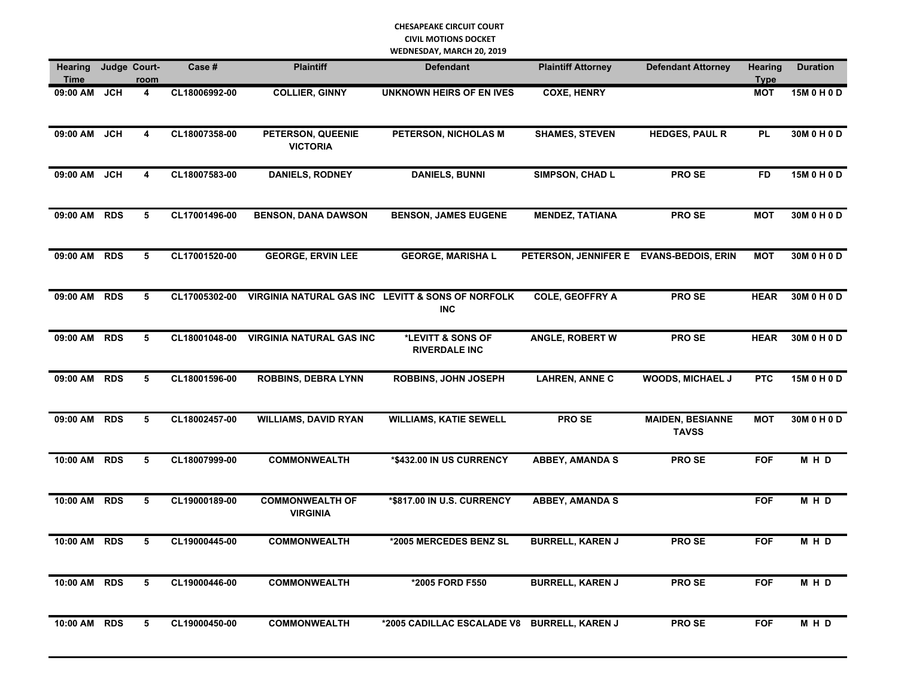## **CHESAPEAKE CIRCUIT COURT CIVIL MOTIONS DOCKET WEDNESDAY, MARCH 20, 2019**

| <b>Hearing</b><br><b>Time</b> | Judge Court-<br>room | Case #        | <b>Plaintiff</b>                          | <b>Defendant</b>                                                | <b>Plaintiff Attorney</b>               | <b>Defendant Attorney</b>               | <b>Hearing</b><br><b>Type</b> | <b>Duration</b> |
|-------------------------------|----------------------|---------------|-------------------------------------------|-----------------------------------------------------------------|-----------------------------------------|-----------------------------------------|-------------------------------|-----------------|
| 09:00 AM JCH                  | 4                    | CL18006992-00 | <b>COLLIER, GINNY</b>                     | UNKNOWN HEIRS OF EN IVES                                        | <b>COXE, HENRY</b>                      |                                         | <b>MOT</b>                    | 15M 0 H 0 D     |
| 09:00 AM JCH                  | 4                    | CL18007358-00 | PETERSON, QUEENIE<br><b>VICTORIA</b>      | PETERSON, NICHOLAS M                                            | <b>SHAMES, STEVEN</b>                   | <b>HEDGES, PAUL R</b>                   | <b>PL</b>                     | 30M 0 H 0 D     |
| 09:00 AM JCH                  | $\overline{4}$       | CL18007583-00 | <b>DANIELS, RODNEY</b>                    | <b>DANIELS, BUNNI</b>                                           | SIMPSON, CHAD L                         | PRO SE                                  | <b>FD</b>                     | 15M 0 H 0 D     |
| 09:00 AM RDS                  | 5                    | CL17001496-00 | <b>BENSON, DANA DAWSON</b>                | <b>BENSON, JAMES EUGENE</b>                                     | <b>MENDEZ, TATIANA</b>                  | PRO SE                                  | <b>MOT</b>                    | 30M 0 H 0 D     |
| 09:00 AM RDS                  | 5                    | CL17001520-00 | <b>GEORGE, ERVIN LEE</b>                  | <b>GEORGE, MARISHA L</b>                                        | PETERSON, JENNIFER E EVANS-BEDOIS, ERIN |                                         | <b>MOT</b>                    | 30M 0 H 0 D     |
| 09:00 AM RDS                  | 5                    | CL17005302-00 |                                           | VIRGINIA NATURAL GAS INC LEVITT & SONS OF NORFOLK<br><b>INC</b> | <b>COLE, GEOFFRY A</b>                  | <b>PROSE</b>                            | <b>HEAR</b>                   | 30M 0 H 0 D     |
| 09:00 AM RDS                  | 5                    | CL18001048-00 | <b>VIRGINIA NATURAL GAS INC</b>           | *LEVITT & SONS OF<br><b>RIVERDALE INC</b>                       | ANGLE, ROBERT W                         | <b>PROSE</b>                            | <b>HEAR</b>                   | 30M 0 H 0 D     |
| 09:00 AM RDS                  | 5                    | CL18001596-00 | <b>ROBBINS, DEBRA LYNN</b>                | <b>ROBBINS, JOHN JOSEPH</b>                                     | <b>LAHREN, ANNE C</b>                   | <b>WOODS, MICHAEL J</b>                 | <b>PTC</b>                    | 15M 0 H 0 D     |
| 09:00 AM RDS                  | 5                    | CL18002457-00 | <b>WILLIAMS, DAVID RYAN</b>               | <b>WILLIAMS, KATIE SEWELL</b>                                   | <b>PROSE</b>                            | <b>MAIDEN, BESIANNE</b><br><b>TAVSS</b> | <b>MOT</b>                    | 30M 0 H 0 D     |
| 10:00 AM RDS                  | 5                    | CL18007999-00 | <b>COMMONWEALTH</b>                       | *\$432.00 IN US CURRENCY                                        | <b>ABBEY, AMANDA S</b>                  | <b>PROSE</b>                            | <b>FOF</b>                    | MHD             |
| 10:00 AM RDS                  | 5                    | CL19000189-00 | <b>COMMONWEALTH OF</b><br><b>VIRGINIA</b> | *\$817.00 IN U.S. CURRENCY                                      | <b>ABBEY, AMANDA S</b>                  |                                         | <b>FOF</b>                    | MHD             |
| 10:00 AM RDS                  | 5                    | CL19000445-00 | <b>COMMONWEALTH</b>                       | *2005 MERCEDES BENZ SL                                          | <b>BURRELL, KAREN J</b>                 | PRO SE                                  | <b>FOF</b>                    | MHD             |
| 10:00 AM RDS                  | 5                    | CL19000446-00 | <b>COMMONWEALTH</b>                       | *2005 FORD F550                                                 | <b>BURRELL, KAREN J</b>                 | PRO SE                                  | <b>FOF</b>                    | M H D           |
| 10:00 AM RDS                  | 5                    | CL19000450-00 | <b>COMMONWEALTH</b>                       | *2005 CADILLAC ESCALADE V8 BURRELL, KAREN J                     |                                         | <b>PROSE</b>                            | <b>FOF</b>                    | M H D           |